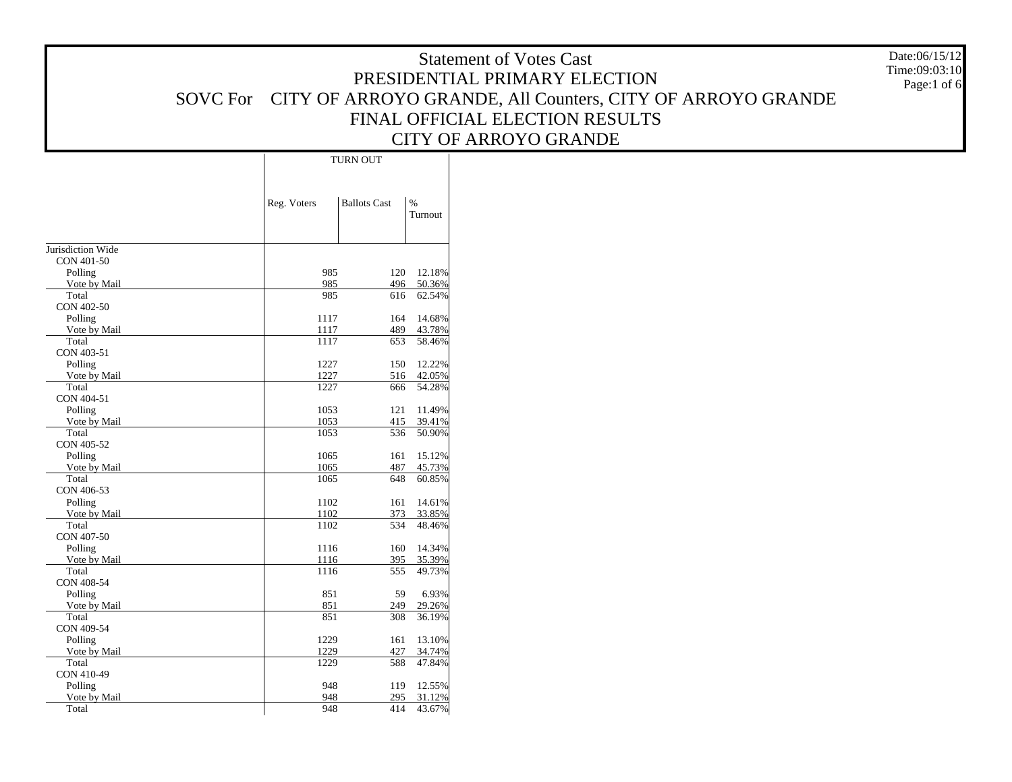Date:06/15/12 Time:09:03:10Page:1 of 6

|                   |             | TURN OUT            |               |  |  |  |  |
|-------------------|-------------|---------------------|---------------|--|--|--|--|
|                   | Reg. Voters | <b>Ballots Cast</b> | $\frac{0}{0}$ |  |  |  |  |
|                   |             |                     | Turnout       |  |  |  |  |
|                   |             |                     |               |  |  |  |  |
| Jurisdiction Wide |             |                     |               |  |  |  |  |
| CON 401-50        |             |                     |               |  |  |  |  |
| Polling           | 985         | 120                 | 12.18%        |  |  |  |  |
| Vote by Mail      | 985         | 496                 | 50.36%        |  |  |  |  |
| Total             | 985         | 616                 | 62.54%        |  |  |  |  |
| CON 402-50        |             |                     |               |  |  |  |  |
| Polling           | 1117        | 164                 | 14.68%        |  |  |  |  |
| Vote by Mail      | 1117        | 489                 | 43.78%        |  |  |  |  |
| Total             | 1117        | 653                 | 58.46%        |  |  |  |  |
| CON 403-51        |             |                     |               |  |  |  |  |
| Polling           | 1227        | 150                 | 12.22%        |  |  |  |  |
| Vote by Mail      | 1227        | 516                 | 42.05%        |  |  |  |  |
| Total             | 1227        | 666                 | 54.28%        |  |  |  |  |
| CON 404-51        |             |                     |               |  |  |  |  |
| Polling           | 1053        | 121                 | 11.49%        |  |  |  |  |
| Vote by Mail      | 1053        | 415                 | 39.41%        |  |  |  |  |
| Total             | 1053        | 536                 | 50.90%        |  |  |  |  |
| CON 405-52        |             |                     |               |  |  |  |  |
| Polling           | 1065        | 161                 | 15.12%        |  |  |  |  |
| Vote by Mail      | 1065        | 487                 | 45.73%        |  |  |  |  |
| Total             | 1065        | 648                 | 60.85%        |  |  |  |  |
| CON 406-53        |             |                     |               |  |  |  |  |
| Polling           | 1102        | 161                 | 14.61%        |  |  |  |  |
| Vote by Mail      | 1102        | 373                 | 33.85%        |  |  |  |  |
| Total             | 1102        | 534                 | 48.46%        |  |  |  |  |
| CON 407-50        |             |                     |               |  |  |  |  |
| Polling           | 1116        | 160                 | 14.34%        |  |  |  |  |
| Vote by Mail      | 1116        | 395                 | 35.39%        |  |  |  |  |
| Total             | 1116        | 555                 | 49.73%        |  |  |  |  |
| CON 408-54        |             |                     |               |  |  |  |  |
| Polling           | 851         | 59                  | 6.93%         |  |  |  |  |
| Vote by Mail      | 851         | 249                 | 29.26%        |  |  |  |  |
| Total             | 851         | 308                 | 36.19%        |  |  |  |  |
| CON 409-54        |             |                     |               |  |  |  |  |
| Polling           | 1229        | 161                 | 13.10%        |  |  |  |  |
| Vote by Mail      | 1229        | 427                 | 34.74%        |  |  |  |  |
| Total             | 1229        | 588                 | 47.84%        |  |  |  |  |
| CON 410-49        |             |                     |               |  |  |  |  |
| Polling           | 948         | 119                 | 12.55%        |  |  |  |  |
| Vote by Mail      | 948         | 295                 | 31.12%        |  |  |  |  |
| Total             | 948         | 414                 | 43.67%        |  |  |  |  |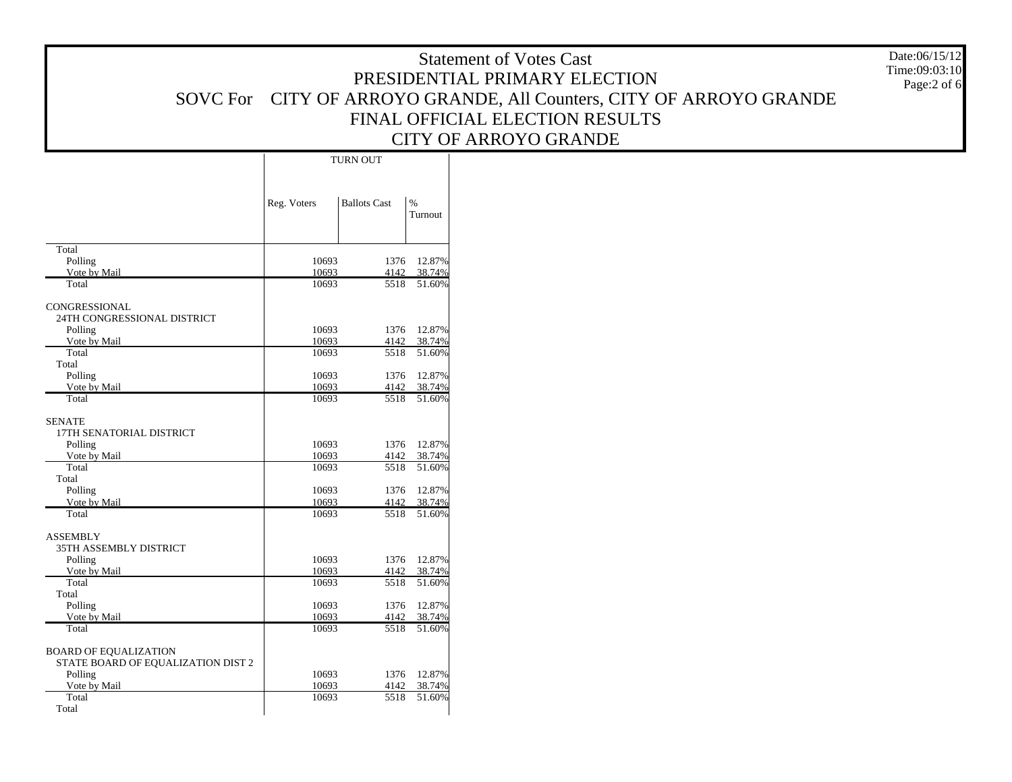Date:06/15/12 Time:09:03:10Page:2 of 6

|                                                                    | <b>TURN OUT</b> |                     |                          |  |  |  |
|--------------------------------------------------------------------|-----------------|---------------------|--------------------------|--|--|--|
|                                                                    | Reg. Voters     | <b>Ballots Cast</b> | $\frac{9}{6}$<br>Turnout |  |  |  |
| Total<br>Polling                                                   | 10693           | 1376                | 12.87%                   |  |  |  |
| Vote by Mail                                                       | 10693           | 4142                | 38.74%                   |  |  |  |
| Total                                                              | 10693           | 5518                | 51.60%                   |  |  |  |
| CONGRESSIONAL<br>24TH CONGRESSIONAL DISTRICT                       |                 |                     |                          |  |  |  |
| Polling                                                            | 10693           | 1376                | 12.87%                   |  |  |  |
| Vote by Mail<br>Total                                              | 10693<br>10693  | 4142<br>5518        | 38.74%<br>51.60%         |  |  |  |
| Total                                                              |                 |                     |                          |  |  |  |
| Polling                                                            | 10693           | 1376                | 12.87%                   |  |  |  |
| Vote by Mail                                                       | 10693           | 4142                | 38.74%                   |  |  |  |
| Total                                                              | 10693           | 5518                | 51.60%                   |  |  |  |
| <b>SENATE</b><br>17TH SENATORIAL DISTRICT<br>Polling               | 10693           | 1376                | 12.87%                   |  |  |  |
| Vote by Mail                                                       | 10693           | 4142                | 38.74%                   |  |  |  |
| Total                                                              | 10693           | 5518                | 51.60%                   |  |  |  |
| Total                                                              |                 |                     |                          |  |  |  |
| Polling                                                            | 10693           | 1376                | 12.87%                   |  |  |  |
| Vote by Mail                                                       | 10693           | 4142                | 38.74%                   |  |  |  |
| Total                                                              | 10693           | 5518                | 51.60%                   |  |  |  |
| <b>ASSEMBLY</b><br>35TH ASSEMBLY DISTRICT                          |                 |                     |                          |  |  |  |
| Polling                                                            | 10693           | 1376                | 12.87%                   |  |  |  |
| Vote by Mail                                                       | 10693           | 4142                | 38.74%                   |  |  |  |
| Total                                                              | 10693           | 5518                | 51.60%                   |  |  |  |
| Total<br>Polling                                                   | 10693           | 1376                | 12.87%                   |  |  |  |
| Vote by Mail                                                       | 10693           | 4142                | 38.74%                   |  |  |  |
| Total                                                              | 10693           | 5518                | 51.60%                   |  |  |  |
| <b>BOARD OF EQUALIZATION</b><br>STATE BOARD OF EQUALIZATION DIST 2 |                 |                     |                          |  |  |  |
| Polling                                                            | 10693           | 1376                | 12.87%                   |  |  |  |
| Vote by Mail                                                       | 10693           | 4142                | 38.74%                   |  |  |  |
| Total                                                              | 10693           | 5518                | 51.60%                   |  |  |  |
| Total                                                              |                 |                     |                          |  |  |  |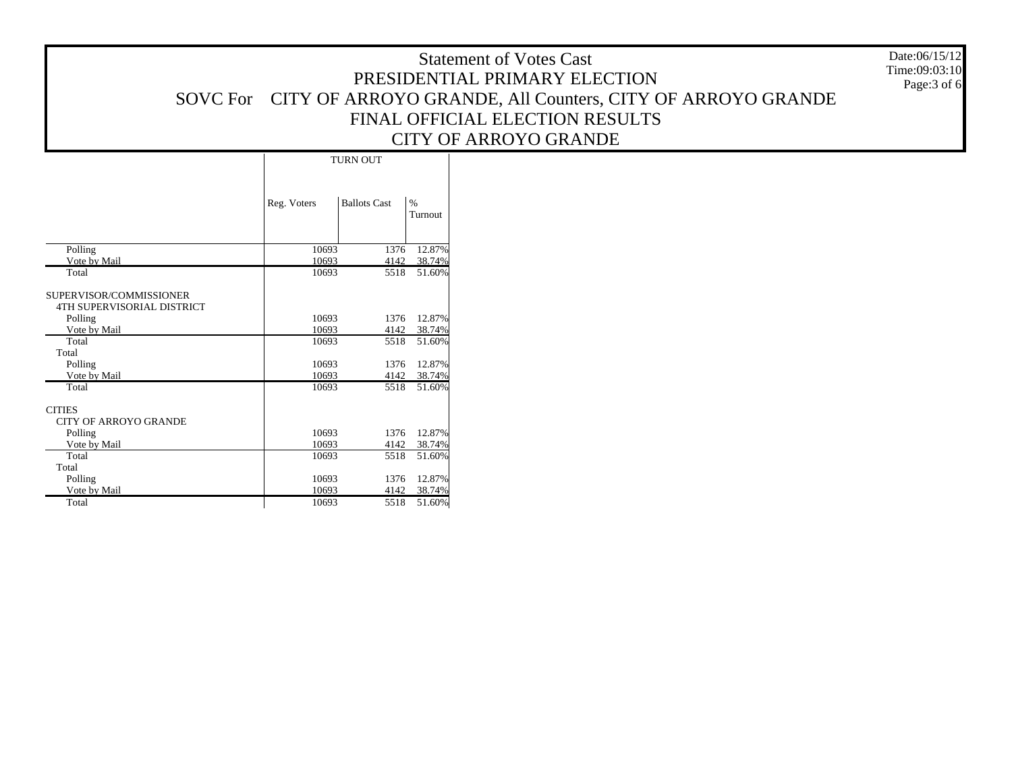Date:06/15/12 Time:09:03:10Page:3 of 6

|                                                              |             | TURN OUT            |                 |  |  |  |  |
|--------------------------------------------------------------|-------------|---------------------|-----------------|--|--|--|--|
|                                                              | Reg. Voters | <b>Ballots Cast</b> | $\%$<br>Turnout |  |  |  |  |
| Polling                                                      | 10693       | 1376                | 12.87%          |  |  |  |  |
| Vote by Mail                                                 | 10693       | 4142                | 38.74%          |  |  |  |  |
| Total                                                        | 10693       | 5518                | 51.60%          |  |  |  |  |
| SUPERVISOR/COMMISSIONER<br><b>4TH SUPERVISORIAL DISTRICT</b> |             |                     |                 |  |  |  |  |
| Polling                                                      | 10693       | 1376                | 12.87%          |  |  |  |  |
| Vote by Mail                                                 | 10693       | 4142                | 38.74%          |  |  |  |  |
| Total<br>Total                                               | 10693       | 5518                | 51.60%          |  |  |  |  |
| Polling                                                      | 10693       | 1376                | 12.87%          |  |  |  |  |
| Vote by Mail                                                 | 10693       | 4142                | 38.74%          |  |  |  |  |
| Total                                                        | 10693       | 5518                | 51.60%          |  |  |  |  |
| <b>CITIES</b><br><b>CITY OF ARROYO GRANDE</b>                |             |                     |                 |  |  |  |  |
| Polling                                                      | 10693       | 1376                | 12.87%          |  |  |  |  |
| Vote by Mail                                                 | 10693       | 4142                | 38.74%          |  |  |  |  |
| Total<br>Total                                               | 10693       | 5518                | 51.60%          |  |  |  |  |
| Polling                                                      | 10693       | 1376                | 12.87%          |  |  |  |  |
| Vote by Mail                                                 | 10693       | 4142                | 38.74%          |  |  |  |  |
| Total                                                        | 10693       | 5518                | 51.60%          |  |  |  |  |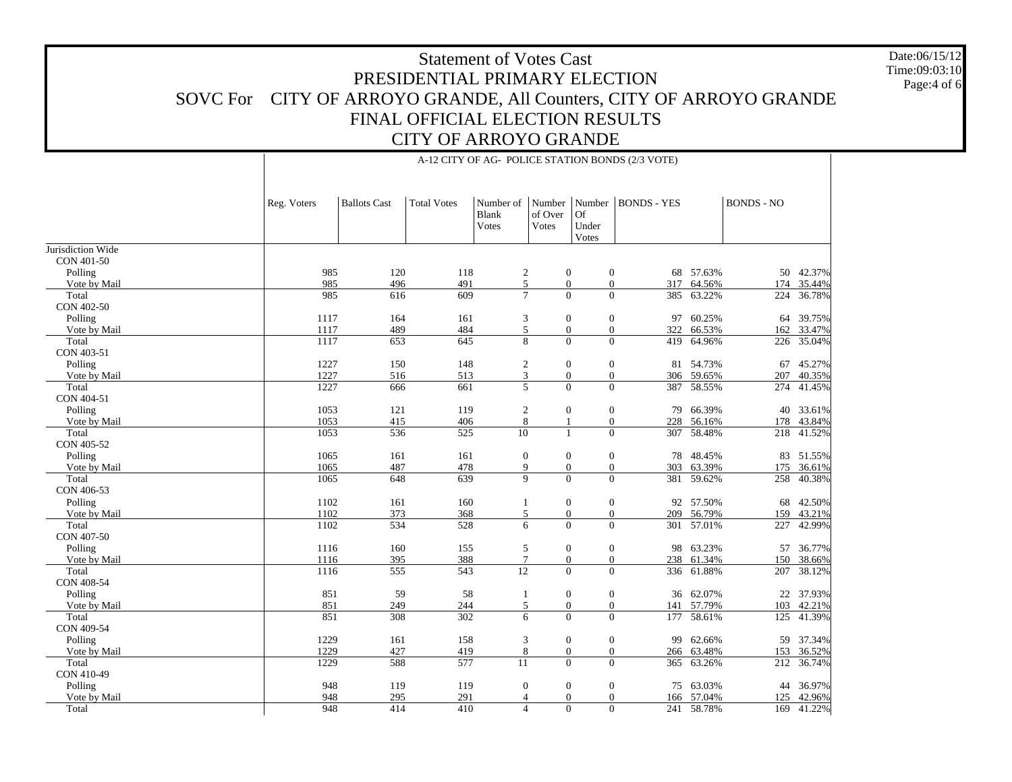Jurisdiction Wide CON 401-50 Polling Vote by Mail Total CON 402-50 Polling Vote by Mail Total CON 403-51 Polling Vote by Mail Total CON 404-51 Polling Vote by Mail Total CON 405-52 Polling Vote by Mail Total CON 406-53 Polling Vote by Mail Total CON 407-50 Polling Vote by Mail Total CON 408-54 Polling Vote by Mail Total CON 409-54 Polling Vote by Mail Total CON 410-49 Polling Vote by Mail Reg. Voters | Ballots Cast | Total Votes Blank VotesNumber of Over VotesNumber BONDS - YESOf Under Votes BONDS - NO985 120 118 2 0 0 68 57.63% 50 42.37% 985 496 491 5 0 0 317 64.56%64.56% 174 35.44% 985 616 609 7 0 0 385 63.22%63.22% 224 36.78% 1117 164 161 3 0 0 97 60.25%60.25% 64 39.75% 1117 489 484 5 0 0 322 66.53% 162 33.47% 1117 653 645 8 0 0 419 64.96% 226 35.04% 1227 150 148 2 0 0 81 54.73% 67 45.27% 1227 516 513 3 0 0 306 59.65% 207 40.35% 1227666 661 5 0 0 387 58.55% 274 41.45% 1053 121 119 2 0 0 79 66.39% 40 33.61% 1053 415 406 8 1 0 228 56.16% 178 43.84% 1053536 525 10 1 0 307 58.48% 218 41.52% 1065 161 161 0 0 0 78 48.45% 83 51.55% 1065 487 478 9 0 0 303 63.39% 175 36.61% 1065 648 639 9 0 0 381 59.62% 258 40.38% 1102161 160 1 0 0 92 57.50% 68 42.50% 1102 373 368 5 0 0 209 56.79% 159 43.21% 1102534 528 6 0 0 301 57.01% 227 42.99% 1116 160 155 5 0 0 98 63.23% 57 36.77% 1116 395 388 7 0 0 238 61.34%61.34% 150 38.66% 1116 555 543 12 0 0 336 61.88% 207 38.12% 851 59 58 1 0 0 36 62.07% 22 37.93% 851 249 244 5 0 0 141 57.79% 103 42.21% 851 308 302 6 0 0 177 58.61% 125 41.39% 1229 161 158 3 0 0 99 62.66% 59 37.34% 1229427 419 8 0 0 266 63.48% 153 36.52% 1229588 577 11 0 0 365 63.26% 212 36.74% 948 119 119 0 0 0 75 63.03% 44 36.97% 948 295 291 4 0 0 166 57.04% 125 42.96% 948414 410 4 0 0 241 58.78% 169 41.22%

Total

A-12 CITY OF AG- POLICE STATION BONDS (2/3 VOTE)

### Date:06/15/12Time:09:03:10Page:4 of 6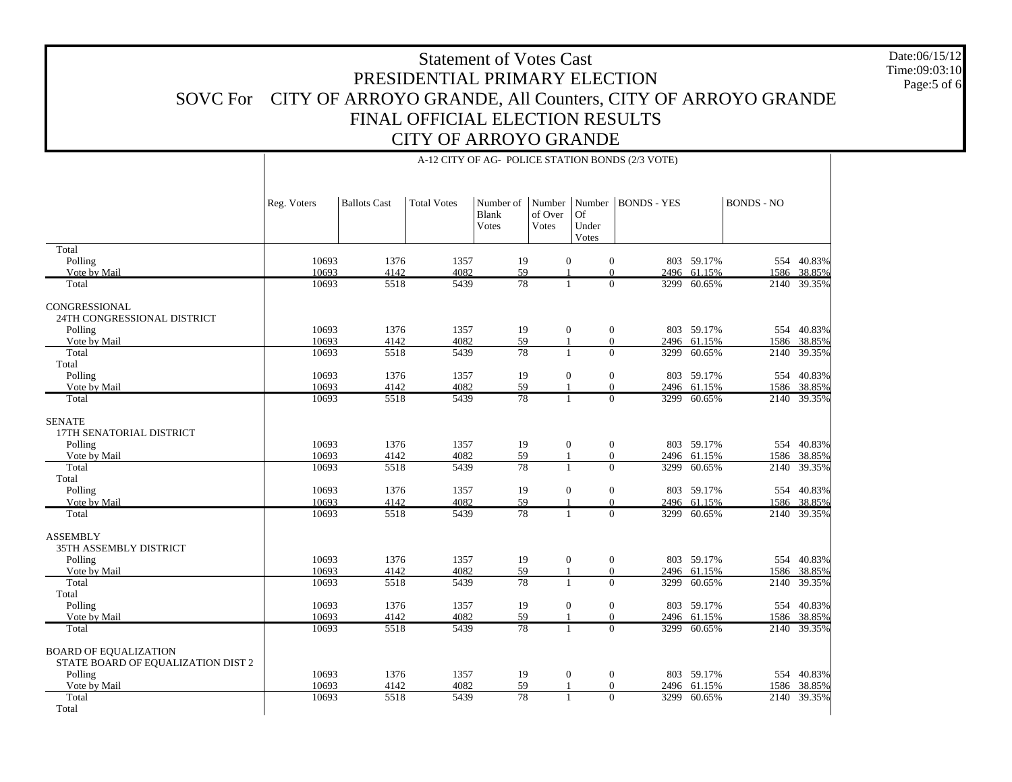Total Polling Vote by Mail TotalCONGRESSIONAL 24TH CONGRESSIONAL DISTRICT Polling Vote by Mail Total Total Polling Vote by Mail TotalSENATE 17TH SENATORIAL DISTRICT Polling Vote by Mail Total Total Polling Vote by Mail TotalASSEMBLY 35TH ASSEMBLY DISTRICT Polling Vote by Mail Total Total Polling Vote by Mail TotalBOARD OF EQUALIZATION STATE BOARD OF EQUALIZATION DIST 2 Polling Vote by Mail TotalReg. Voters | Ballots Cast | Total Votes Blank Votes Number of Over VotesNumber BONDS - YESOf Under Votes BONDS - NO10693 1376 1357 19 0 0 803 59.17% 554 40.83% 10693 4142 4082 59 1 0 2496 61.15% 1586 38.85% 10693 5518 5439 78 1 0 3299 60.65%60.65% 2140 39.35% 10693 1376 1357 19 0 0 803 59.17% 554 40.83% 10693 4142 4082 59 1 0 2496 61.15% 1586 38.85% 10693 5518 5439 78 1 0 3299 60.65%60.65% 2140 39.35% 10693 1376 1357 19 0 0 803 59.17% 554 40.83% 10693 4142 4082 59 1 0 2496 61.15% 1586 38.85% 10693 5518 5439 78 1 0 3299 60.65%60.65% 2140 39.35% 10693 1376 1357 19 0 0 803 59.17% 554 40.83% 10693 4142 4082 59 1 0 2496 61.15% 1586 38.85% 10693 5518 5439 78 1 0 3299 60.65%60.65% 2140 39.35% 10693 1376 1357 19 0 0 803 59.17% 554 40.83% 10693 4142 4082 59 1 0 2496 61.15% 1586 38.85% 10693 5518 5439 78 1 0 3299 60.65% 2140 39.35% 10693 1376 1357 19 0 0 803 59.17% 554 40.83% 10693 4142 4082 59 1 0 2496 61.15% 1586 38.85% 10693 5518 5439 78 1 0 3299 60.65%60.65% 2140 39.35% 10693 1376 1357 19 0 0 803 59.17% 554 40.83% 10693 4142 4082 59 1 0 2496 61.15% 1586 38.85% 10693 5518 5439 78 1 0 3299 60.65% 2140 39.35% 10693 1376 1357 19 0 0 803 59.17% 554 40.83% 10693 4142 4082 59 1 0 2496 61.15% 1586 38.85% 10693 5518 5439 78 1 0 3299 60.65%60.65% 2140 39.35%

Total

A-12 CITY OF AG- POLICE STATION BONDS (2/3 VOTE)

Date:06/15/12Time:09:03:10Page:5 of 6